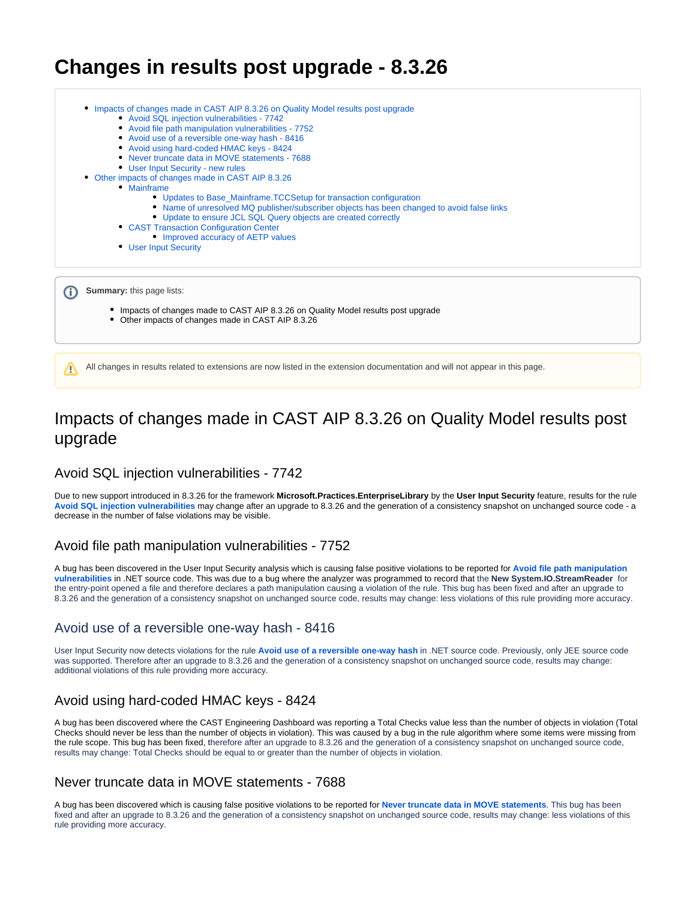# **Changes in results post upgrade - 8.3.26**

| Impacts of changes made in CAST AIP 8.3.26 on Quality Model results post upgrade<br>• Avoid SQL injection vulnerabilities - 7742<br>• Avoid file path manipulation vulnerabilities - 7752<br>• Avoid use of a reversible one-way hash - 8416<br>• Avoid using hard-coded HMAC keys - 8424<br>• Never truncate data in MOVE statements - 7688<br>• User Input Security - new rules<br>Other impacts of changes made in CAST AIP 8.3.26<br>• Mainframe<br>• Updates to Base_Mainframe.TCCSetup for transaction configuration<br>• Name of unresolved MQ publisher/subscriber objects has been changed to avoid false links<br>• Update to ensure JCL SQL Query objects are created correctly<br>• CAST Transaction Configuration Center<br>• Improved accuracy of AETP values<br>• User Input Security |
|------------------------------------------------------------------------------------------------------------------------------------------------------------------------------------------------------------------------------------------------------------------------------------------------------------------------------------------------------------------------------------------------------------------------------------------------------------------------------------------------------------------------------------------------------------------------------------------------------------------------------------------------------------------------------------------------------------------------------------------------------------------------------------------------------|
| <b>Summary: this page lists:</b><br>• Impacts of changes made to CAST AIP 8.3.26 on Quality Model results post upgrade<br>Other impacts of changes made in CAST AIP 8.3.26                                                                                                                                                                                                                                                                                                                                                                                                                                                                                                                                                                                                                           |
| All changes in results related to extensions are now listed in the extension documentation and will not appear in this page.<br>n                                                                                                                                                                                                                                                                                                                                                                                                                                                                                                                                                                                                                                                                    |

# <span id="page-0-0"></span>Impacts of changes made in CAST AIP 8.3.26 on Quality Model results post upgrade

## <span id="page-0-1"></span>Avoid SQL injection vulnerabilities - 7742

Due to new support introduced in 8.3.26 for the framework **Microsoft.Practices.EnterpriseLibrary** by the **User Input Security** feature, results for the rule **[Avoid SQL injection vulnerabilities](https://technologies.castsoftware.com/rules?s=7742|qualityrules|7742)** may change after an upgrade to 8.3.26 and the generation of a consistency snapshot on unchanged source code - a decrease in the number of false violations may be visible.

### <span id="page-0-2"></span>Avoid file path manipulation vulnerabilities - 7752

A bug has been discovered in the User Input Security analysis which is causing false positive violations to be reported for **[Avoid file path manipulation](https://technologies.castsoftware.com/rules?s=7752|qualityrules|7752)  [vulnerabilities](https://technologies.castsoftware.com/rules?s=7752|qualityrules|7752)** in .NET source code. This was due to a bug where the analyzer was programmed to record that the **New System.IO.StreamReader** for the entry-point opened a file and therefore declares a path manipulation causing a violation of the rule. This bug has been fixed and after an upgrade to 8.3.26 and the generation of a consistency snapshot on unchanged source code, results may change: less violations of this rule providing more accuracy.

## <span id="page-0-3"></span>Avoid use of a reversible one-way hash - 8416

User Input Security now detects violations for the rule **[Avoid use of a reversible one-way hash](https://technologies.castsoftware.com/rules?s=8416|qualityrules|8416)** in .NET source code. Previously, only JEE source code was supported. Therefore after an upgrade to 8.3.26 and the generation of a consistency snapshot on unchanged source code, results may change: additional violations of this rule providing more accuracy.

## <span id="page-0-4"></span>Avoid using hard-coded HMAC keys - 8424

A bug has been discovered where the CAST Engineering Dashboard was reporting a Total Checks value less than the number of objects in violation (Total Checks should never be less than the number of objects in violation). This was caused by a bug in the rule algorithm where some items were missing from the rule scope. This bug has been fixed, therefore after an upgrade to 8.3.26 and the generation of a consistency snapshot on unchanged source code, results may change: Total Checks should be equal to or greater than the number of objects in violation.

## <span id="page-0-5"></span>Never truncate data in MOVE statements - 7688

<span id="page-0-6"></span>A bug has been discovered which is causing false positive violations to be reported for **[Never truncate data in MOVE statements](https://technologies.castsoftware.com/rules?s=7688|qualityrules|7688)**. This bug has been fixed and after an upgrade to 8.3.26 and the generation of a consistency snapshot on unchanged source code, results may change: less violations of this rule providing more accuracy.